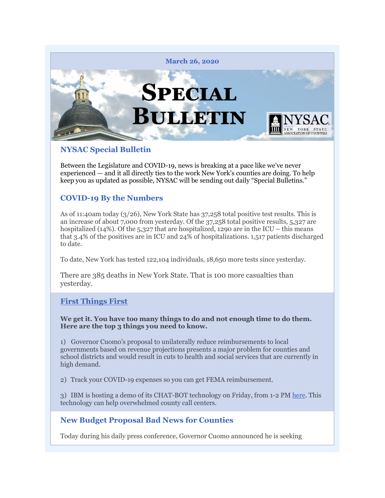

# **NYSAC Special Bulletin**

Between the Legislature and COVID-19, news is breaking at a pace like we've never experienced — and it all directly ties to the work New York's counties are doing. To help keep you as updated as possible, NYSAC will be sending out daily "Special Bulletins."

# **COVID-19 By the Numbers**

As of 11:40am today (3/26), New York State has 37,258 total positive test results. This is an increase of about 7,000 from yesterday. Of the 37,258 total positive results, 5,327 are hospitalized (14%). Of the 5,327 that are hospitalized, 1290 are in the ICU – this means that 3.4% of the positives are in ICU and 24% of hospitalizations. 1,517 patients discharged to date.

To date, New York has tested 122,104 individuals, 18,650 more tests since yesterday.

There are 385 deaths in New York State. That is 100 more casualties than yesterday.

#### **First Things First**

#### **We get it. You have too many things to do and not enough time to do them. Here are the top 3 things you need to know.**

1) Governor Cuomo's proposal to unilaterally reduce reimbursements to local governments based on revenue projections presents a major problem for counties and school districts and would result in cuts to health and social services that are currently in high demand.

2) Track your COVID-19 expenses so you can get FEMA reimbursement.

3) IBM is hosting a demo of its CHAT-BOT technology on Friday, from 1-2 PM [here.](http://r20.rs6.net/tn.jsp?f=001cPoJjvsXJRwV6pcPzFaHL2Ss-cNJaXH_NOe0rv-lIOL_TpHoTw9QJ-xdZ5S8vV-sFZ9G0SdVRuB_hG4gHd-xHwy_-XzzIyZvQ-t7l5OK09aifgMBKjjph2RAQ4q4kJrVjY58RF-wkVrHAwNE3QZtMrfKtUakCp3SGMoBe275EVQ=&c=grK04bu9GbiHN-5LZyP3VH7ui3k9QwUwFSxYL4VG432fBVkC9rfDWw==&ch=0S0yVl0CnoAvMNwSWGhWbvmCRkM6I18lV59OqWDcDvJ0Vx0NUPGhkQ==) This technology can help overwhelmed county call centers.

# **New Budget Proposal Bad News for Counties**

Today during his daily press conference, Governor Cuomo announced he is seeking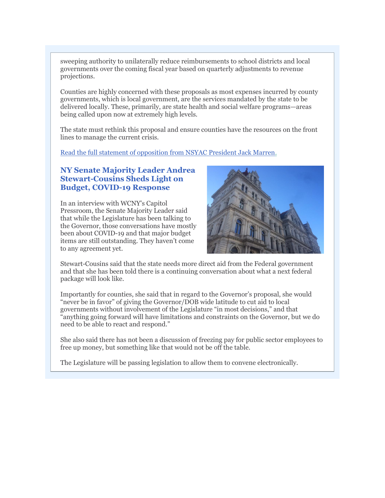sweeping authority to unilaterally reduce reimbursements to school districts and local governments over the coming fiscal year based on quarterly adjustments to revenue projections.

Counties are highly concerned with these proposals as most expenses incurred by county governments, which is local government, are the services mandated by the state to be delivered locally. These, primarily, are state health and social welfare programs—areas being called upon now at extremely high levels.

The state must rethink this proposal and ensure counties have the resources on the front lines to manage the current crisis.

[Read the full statement of opposition from NSYAC President Jack Marren.](http://r20.rs6.net/tn.jsp?f=001cPoJjvsXJRwV6pcPzFaHL2Ss-cNJaXH_NOe0rv-lIOL_TpHoTw9QJ-xdZ5S8vV-s3TaVKFsGU5TruMnlkM2dPktLZa-6JWTDqV_LdNE8zCDZ4InS6FhcwxE-7o35LhmRY4pWkpRG2-8l_rmaoMDVWlUm4ZC__acwby0kOHntl8JAFLav2Lwwxg==&c=grK04bu9GbiHN-5LZyP3VH7ui3k9QwUwFSxYL4VG432fBVkC9rfDWw==&ch=0S0yVl0CnoAvMNwSWGhWbvmCRkM6I18lV59OqWDcDvJ0Vx0NUPGhkQ==)

#### **NY Senate Majority Leader Andrea Stewart-Cousins Sheds Light on Budget, COVID-19 Response**

In an interview with WCNY's Capitol Pressroom, the Senate Majority Leader said that while the Legislature has been talking to the Governor, those conversations have mostly been about COVID-19 and that major budget items are still outstanding. They haven't come to any agreement yet.



Stewart-Cousins said that the state needs more direct aid from the Federal government and that she has been told there is a continuing conversation about what a next federal package will look like.

Importantly for counties, she said that in regard to the Governor's proposal, she would "never be in favor" of giving the Governor/DOB wide latitude to cut aid to local governments without involvement of the Legislature "in most decisions," and that "anything going forward will have limitations and constraints on the Governor, but we do need to be able to react and respond."

She also said there has not been a discussion of freezing pay for public sector employees to free up money, but something like that would not be off the table.

The Legislature will be passing legislation to allow them to convene electronically.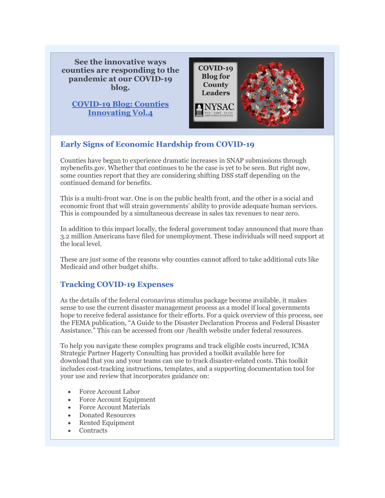**See the innovative ways counties are responding to the pandemic at our COVID-19 blog.**

**[COVID-19 Blog: Counties](http://r20.rs6.net/tn.jsp?f=001cPoJjvsXJRwV6pcPzFaHL2Ss-cNJaXH_NOe0rv-lIOL_TpHoTw9QJ6SW1UKHl89iqYrA_f22x3RIbEwIK2QufelS3XWCFZUdTiDQROIHHsB1_LG3iLAAKGx_m-xWHmRYBfy6f342-xtcbAkKEcIcGbWOnGEFh6Gn1gVTJj7HKCaMo0GwfG_ZnQ==&c=grK04bu9GbiHN-5LZyP3VH7ui3k9QwUwFSxYL4VG432fBVkC9rfDWw==&ch=0S0yVl0CnoAvMNwSWGhWbvmCRkM6I18lV59OqWDcDvJ0Vx0NUPGhkQ==)  [Innovating Vol.4](http://r20.rs6.net/tn.jsp?f=001cPoJjvsXJRwV6pcPzFaHL2Ss-cNJaXH_NOe0rv-lIOL_TpHoTw9QJ6SW1UKHl89iqYrA_f22x3RIbEwIK2QufelS3XWCFZUdTiDQROIHHsB1_LG3iLAAKGx_m-xWHmRYBfy6f342-xtcbAkKEcIcGbWOnGEFh6Gn1gVTJj7HKCaMo0GwfG_ZnQ==&c=grK04bu9GbiHN-5LZyP3VH7ui3k9QwUwFSxYL4VG432fBVkC9rfDWw==&ch=0S0yVl0CnoAvMNwSWGhWbvmCRkM6I18lV59OqWDcDvJ0Vx0NUPGhkQ==)**



# **Early Signs of Economic Hardship from COVID-19**

Counties have begun to experience dramatic increases in SNAP submissions through mybenefits.gov. Whether that continues to be the case is yet to be seen. But right now, some counties report that they are considering shifting DSS staff depending on the continued demand for benefits.

This is a multi-front war. One is on the public health front, and the other is a social and economic front that will strain governments' ability to provide adequate human services. This is compounded by a simultaneous decrease in sales tax revenues to near zero.

In addition to this impact locally, the federal government today announced that more than 3.2 million Americans have filed for unemployment. These individuals will need support at the local level.

These are just some of the reasons why counties cannot afford to take additional cuts like Medicaid and other budget shifts.

#### **Tracking COVID-19 Expenses**

As the details of the federal coronavirus stimulus package become available, it makes sense to use the current disaster management process as a model if local governments hope to receive federal assistance for their efforts. For a quick overview of this process, see the FEMA publication, "A Guide to the Disaster Declaration Process and Federal Disaster Assistance." This can be accessed from our /health website under federal resources.

To help you navigate these complex programs and track eligible costs incurred, ICMA Strategic Partner Hagerty Consulting has provided a toolkit available here for download that you and your teams can use to track disaster-related costs. This toolkit includes cost-tracking instructions, templates, and a supporting documentation tool for your use and review that incorporates guidance on:

- Force Account Labor
- Force Account Equipment
- Force Account Materials
- Donated Resources
- Rented Equipment
- Contracts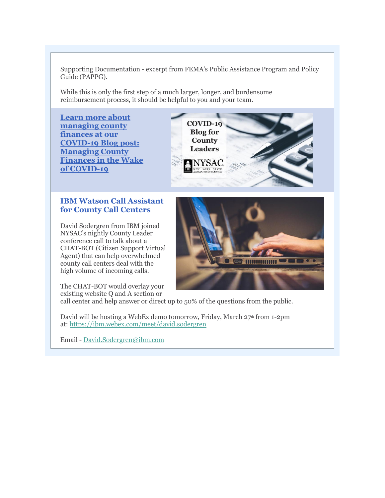Supporting Documentation - excerpt from FEMA's Public Assistance Program and Policy Guide (PAPPG).

> COVID-19 **Blog for County Leaders**

While this is only the first step of a much larger, longer, and burdensome reimbursement process, it should be helpful to you and your team.

**[Learn more about](http://r20.rs6.net/tn.jsp?f=001cPoJjvsXJRwV6pcPzFaHL2Ss-cNJaXH_NOe0rv-lIOL_TpHoTw9QJ6SW1UKHl89iY0HIFT90WAjYJ6CvCgoguR6VL71V0f1343eoytgcbVFJo1YojukSozzupdJ-Oz_srILCyWtR2OdHqQ7-HkcLt0DnyYwW7heV0CIijF7RHOfUnExB689QRw==&c=grK04bu9GbiHN-5LZyP3VH7ui3k9QwUwFSxYL4VG432fBVkC9rfDWw==&ch=0S0yVl0CnoAvMNwSWGhWbvmCRkM6I18lV59OqWDcDvJ0Vx0NUPGhkQ==)  [managing county](http://r20.rs6.net/tn.jsp?f=001cPoJjvsXJRwV6pcPzFaHL2Ss-cNJaXH_NOe0rv-lIOL_TpHoTw9QJ6SW1UKHl89iY0HIFT90WAjYJ6CvCgoguR6VL71V0f1343eoytgcbVFJo1YojukSozzupdJ-Oz_srILCyWtR2OdHqQ7-HkcLt0DnyYwW7heV0CIijF7RHOfUnExB689QRw==&c=grK04bu9GbiHN-5LZyP3VH7ui3k9QwUwFSxYL4VG432fBVkC9rfDWw==&ch=0S0yVl0CnoAvMNwSWGhWbvmCRkM6I18lV59OqWDcDvJ0Vx0NUPGhkQ==)  [finances at our](http://r20.rs6.net/tn.jsp?f=001cPoJjvsXJRwV6pcPzFaHL2Ss-cNJaXH_NOe0rv-lIOL_TpHoTw9QJ6SW1UKHl89iY0HIFT90WAjYJ6CvCgoguR6VL71V0f1343eoytgcbVFJo1YojukSozzupdJ-Oz_srILCyWtR2OdHqQ7-HkcLt0DnyYwW7heV0CIijF7RHOfUnExB689QRw==&c=grK04bu9GbiHN-5LZyP3VH7ui3k9QwUwFSxYL4VG432fBVkC9rfDWw==&ch=0S0yVl0CnoAvMNwSWGhWbvmCRkM6I18lV59OqWDcDvJ0Vx0NUPGhkQ==)  [COVID-19 Blog post:](http://r20.rs6.net/tn.jsp?f=001cPoJjvsXJRwV6pcPzFaHL2Ss-cNJaXH_NOe0rv-lIOL_TpHoTw9QJ6SW1UKHl89iY0HIFT90WAjYJ6CvCgoguR6VL71V0f1343eoytgcbVFJo1YojukSozzupdJ-Oz_srILCyWtR2OdHqQ7-HkcLt0DnyYwW7heV0CIijF7RHOfUnExB689QRw==&c=grK04bu9GbiHN-5LZyP3VH7ui3k9QwUwFSxYL4VG432fBVkC9rfDWw==&ch=0S0yVl0CnoAvMNwSWGhWbvmCRkM6I18lV59OqWDcDvJ0Vx0NUPGhkQ==)  [Managing County](http://r20.rs6.net/tn.jsp?f=001cPoJjvsXJRwV6pcPzFaHL2Ss-cNJaXH_NOe0rv-lIOL_TpHoTw9QJ6SW1UKHl89iY0HIFT90WAjYJ6CvCgoguR6VL71V0f1343eoytgcbVFJo1YojukSozzupdJ-Oz_srILCyWtR2OdHqQ7-HkcLt0DnyYwW7heV0CIijF7RHOfUnExB689QRw==&c=grK04bu9GbiHN-5LZyP3VH7ui3k9QwUwFSxYL4VG432fBVkC9rfDWw==&ch=0S0yVl0CnoAvMNwSWGhWbvmCRkM6I18lV59OqWDcDvJ0Vx0NUPGhkQ==)  [Finances in the Wake](http://r20.rs6.net/tn.jsp?f=001cPoJjvsXJRwV6pcPzFaHL2Ss-cNJaXH_NOe0rv-lIOL_TpHoTw9QJ6SW1UKHl89iY0HIFT90WAjYJ6CvCgoguR6VL71V0f1343eoytgcbVFJo1YojukSozzupdJ-Oz_srILCyWtR2OdHqQ7-HkcLt0DnyYwW7heV0CIijF7RHOfUnExB689QRw==&c=grK04bu9GbiHN-5LZyP3VH7ui3k9QwUwFSxYL4VG432fBVkC9rfDWw==&ch=0S0yVl0CnoAvMNwSWGhWbvmCRkM6I18lV59OqWDcDvJ0Vx0NUPGhkQ==)  [of COVID-19](http://r20.rs6.net/tn.jsp?f=001cPoJjvsXJRwV6pcPzFaHL2Ss-cNJaXH_NOe0rv-lIOL_TpHoTw9QJ6SW1UKHl89iY0HIFT90WAjYJ6CvCgoguR6VL71V0f1343eoytgcbVFJo1YojukSozzupdJ-Oz_srILCyWtR2OdHqQ7-HkcLt0DnyYwW7heV0CIijF7RHOfUnExB689QRw==&c=grK04bu9GbiHN-5LZyP3VH7ui3k9QwUwFSxYL4VG432fBVkC9rfDWw==&ch=0S0yVl0CnoAvMNwSWGhWbvmCRkM6I18lV59OqWDcDvJ0Vx0NUPGhkQ==)**

### **IBM Watson Call Assistant for County Call Centers**

David Sodergren from IBM joined NYSAC's nightly County Leader conference call to talk about a CHAT-BOT (Citizen Support Virtual Agent) that can help overwhelmed county call centers deal with the high volume of incoming calls.

The CHAT-BOT would overlay your existing website Q and A section or

call center and help answer or direct up to 50% of the questions from the public.

David will be hosting a WebEx demo tomorrow, Friday, March  $27<sup>th</sup>$  from 1-2pm at: [https://ibm.webex.com/meet/david.sodergren](http://r20.rs6.net/tn.jsp?f=001cPoJjvsXJRwV6pcPzFaHL2Ss-cNJaXH_NOe0rv-lIOL_TpHoTw9QJ-xdZ5S8vV-sFZ9G0SdVRuB_hG4gHd-xHwy_-XzzIyZvQ-t7l5OK09aifgMBKjjph2RAQ4q4kJrVjY58RF-wkVrHAwNE3QZtMrfKtUakCp3SGMoBe275EVQ=&c=grK04bu9GbiHN-5LZyP3VH7ui3k9QwUwFSxYL4VG432fBVkC9rfDWw==&ch=0S0yVl0CnoAvMNwSWGhWbvmCRkM6I18lV59OqWDcDvJ0Vx0NUPGhkQ==)

Email - [David.Sodergren@ibm.com](mailto:David.Sodergren@ibm.com)